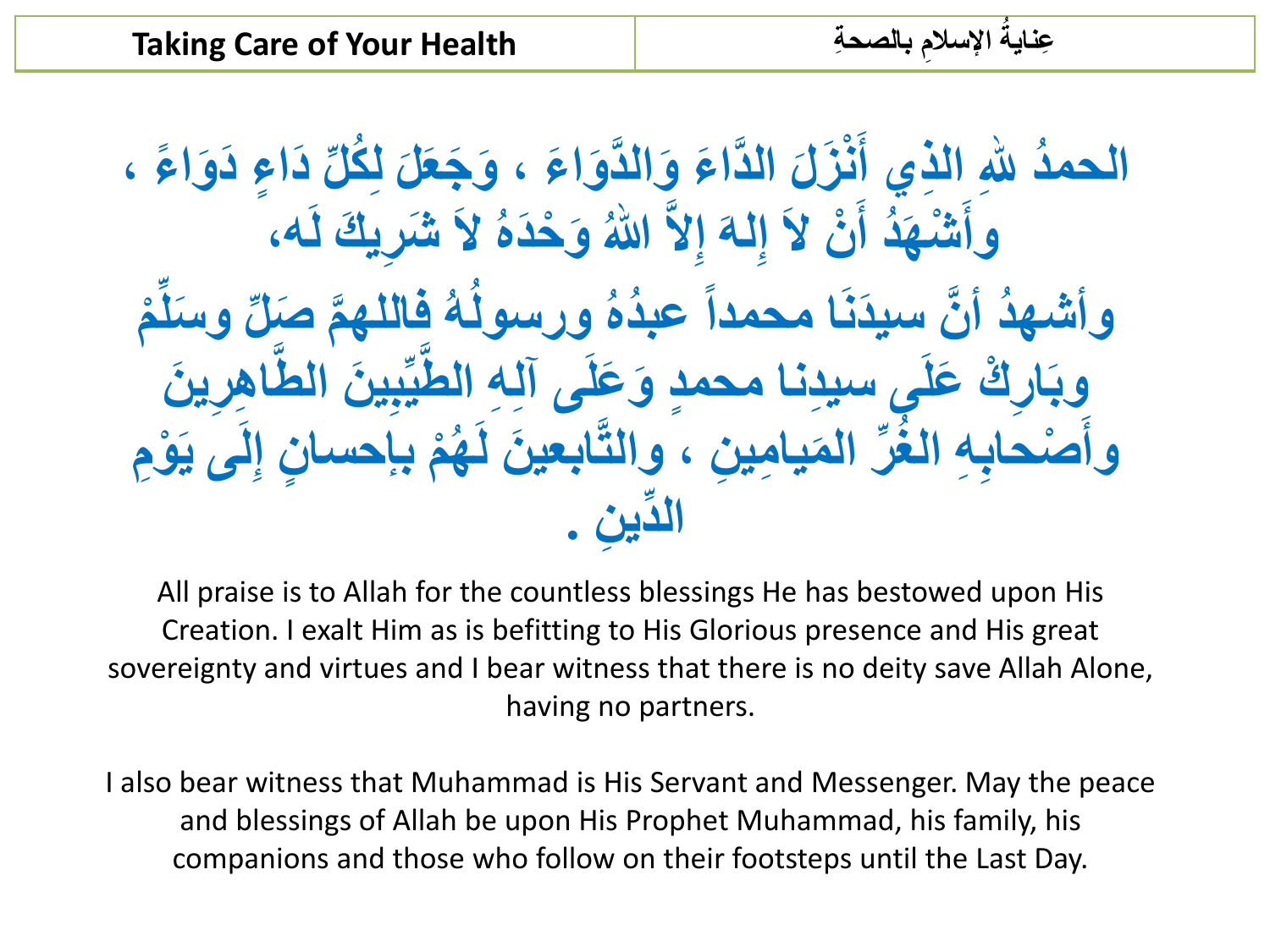الْحَمْدُ لِلَّهِ الَّذِي أَنْزَلَ الذَّاءَ وَالذَّوَاءَ ، وَجَعَلَ لِكُلِّ دَاءٍ دَوَاءً ، **∫ ُ ْ َ ُ َش ِزٝ َل ُ الَ حَدٓ َّ هللاُ َٗ ِال ِىَٔ إ ُ الَ إ د أ ٗأ ى،َٔ َ ْ ْ َ ُ ْش َٖ ٌ ْ ِّ ِّو ٗ َسي ٌ َص ُٔ فبىيٖ َّ ٗرس٘ى دٓ عج ُ سَٞدَّب ٍحَداً د أ َّ ٗأشٖ ُ ُ** ر<br>ا **ُ ب ِٕ ِزٝ َِ ا ِٞ َِ اىط ج ِّ 14 َّ د َٗ َعيَٚ آىِ ِٔ اىط ْك َعيَٚ سِٞدّب ٍحَ ∫ ِر ٗثَب ًِ٘ ِىَٚ َٝ ْ ُ إ 1999 ٌ ثئحسب ْ ٖ ُ ِِ ، ٗاىحَّبثعٞ َِ ىَ ََٞب ٍِٞ ز اى غِّ ِ ِٔ اى** ر<br>و **صحبث ْ َ ٗأ ِِ دًينِ . اىِّ**

All praise is to Allah for the countless blessings He has bestowed upon His Creation. I exalt Him as is befitting to His Glorious presence and His great sovereignty and virtues and I bear witness that there is no deity save Allah Alone, having no partners.

I also bear witness that Muhammad is His Servant and Messenger. May the peace and blessings of Allah be upon His Prophet Muhammad, his family, his companions and those who follow on their footsteps until the Last Day.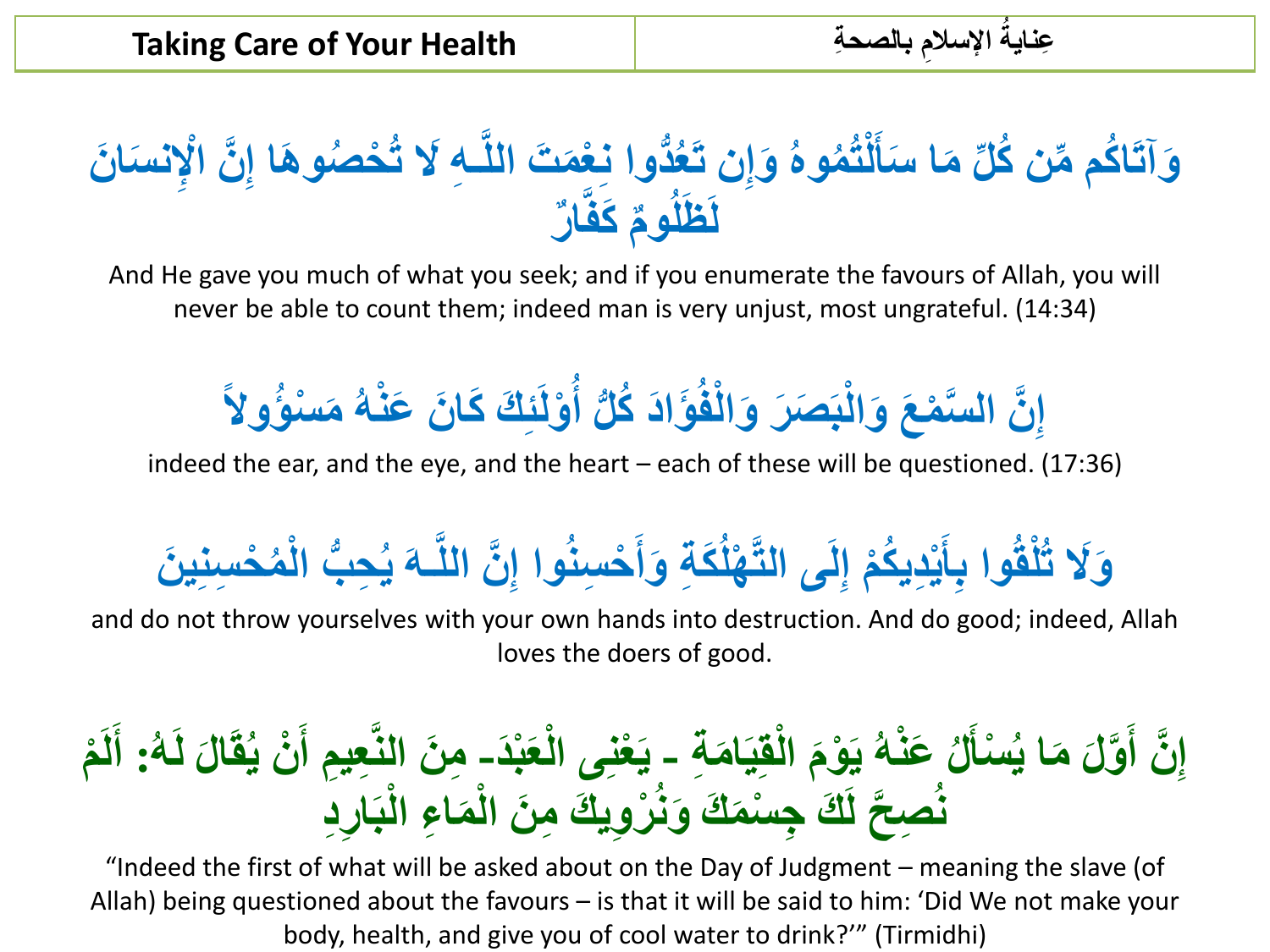# وَآتَاكُم مِّن كُلِّ مَا سَأَلْتُمُوهُ وَإِن تَعُدُّوا نِعْمَتَ اللَّـهِ لَا تُحْصُوهَا إِنَّ الْإِنسَانَ **ْ** )<br>人 **ْ َّ** </sup><br>ا ر<br>و **ُ ْ َ ُ ِّ لَظَٰلُومٌ كَفَّارٌ ُ َّ**

And He gave you much of what you seek; and if you enumerate the favours of Allah, you will never be able to count them; indeed man is very unjust, most ungrateful. (14:34)

### إِنَّ السَّمْعَ وَالْبَصَرَ وَالْفُوَّادَ كُلُّ أَوْلَئِكَ كَانَ عَنْهُ مَسْؤُولاً **ْ ْ ُ ُ ُ ْ ْ ْ** ر<br>ا

indeed the ear, and the eye, and the heart – each of these will be questioned. (17:36)

#### وَلَا تُلْقُوا بِأَيْدِيكُمْ إِلَى التَّهْلُكَةِ وَأَحْسِنُوا إِنَّ اللَّـهَ يُحِبُّ الْمُحْسِنِينَ **ْ ُ ْ َ ْ ُ ْ َ ُّ ـ َّ ُ ْ**

and do not throw yourselves with your own hands into destruction. And do good; indeed, Allah loves the doers of good.

#### إِنَّ أَوَّلَ مَا يُسْأَلُ عَنْهُ يَوْمَ الْقِيَامَةِ ـ يَعْنِى الْعَبْدَـ مِنَ النَّعِيمِ أَنْ يُقَالَ لَهُ: أَلَمْ **ْ َ ْ َ َّ ْ ْ ْ َ ْ** ب<br>∎ **َ** نُصِحَّ لَكَ جِسْمَكَ وَنُرْوِيكَ مِنَ الْمَاءِ الْبَارِدِ **َّ ُ ْ ْ ُ ْ ْ**

"Indeed the first of what will be asked about on the Day of Judgment – meaning the slave (of Allah) being questioned about the favours – is that it will be said to him: 'Did We not make your body, health, and give you of cool water to drink?'" (Tirmidhi)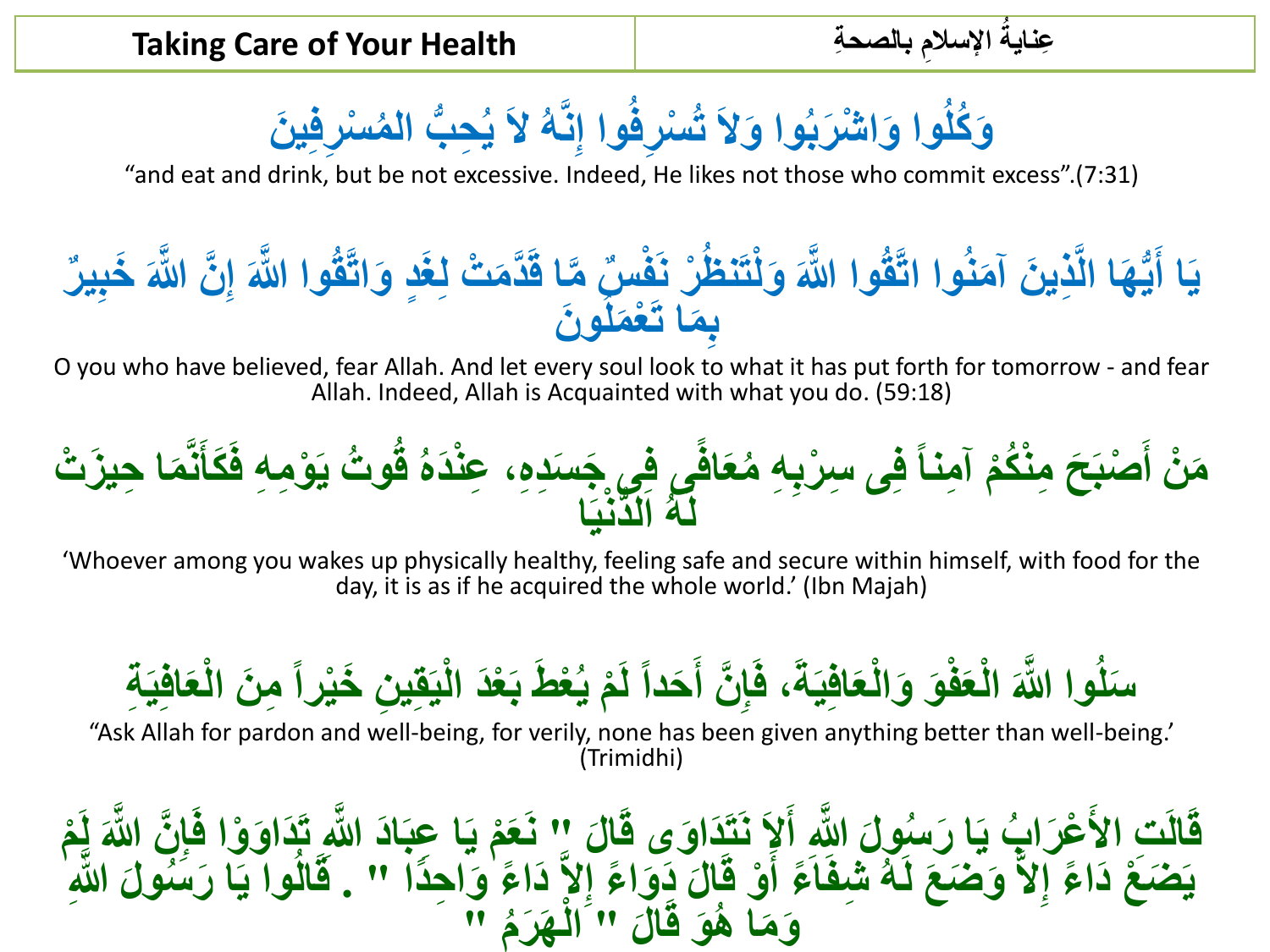وَكُلُوا وَاشْرَبُوا وَلاَ تُسْرِفُوا إِنَّهُ لاَ يُحِبُّ الْمُسْرِفِينَ **ُ ُ ُّ َّ ُ** ر<br>با ابع<br>استقلال

"and eat and drink, but be not excessive. Indeed, He likes not those who commit excess".(7:31)

# **ِ** يَا أَيُّهَا الَّذِينَ آمَنُوا اتَّقُوا النَّهَ وَلْتَنَظُّرْ نَفْسٌ مَّا قَدَّمَتْ لِغَدٍ وَاتَّقُوا النَّهَ إِنَّ النَّهَ خَبِيرٌ **∫ َّ ّ ُ ُ َّ بِمَا تَعْمَلُونَ ُ**

O you who have believed, fear Allah. And let every soul look to what it has put forth for tomorrow - and fear Allah. Indeed, Allah is Acquainted with what you do. (59:18)



'Whoever among you wakes up physically healthy, feeling safe and secure within himself, with food for the day, it is as if he acquired the whole world.' (Ibn Majah)



"Ask Allah for pardon and well-being, for verily, none has been given anything better than well-being.' (Trimidhi)

## قَالَتِ الأَعْرَابُ يَا رَسُولَ اللَّهِ أَلاَ نَتَدَاوَى قَالَ " نَعَمْ يَا عِبَادَ اللَّهِ تَدَاوَوْا فَإِنَّ اللَّهَ يَمْ<br>حَذَبَ اللَّهُ الْمَسْتَمَرِّينَ بِمَنْ يَقِينُونَ اللَّهُ الْمَسْتَمَرَّا وَاللَّهُ الْمَسْتَمِن **َٙٗ قَ َالَ َّحَ َدا َّهللاِ أ س٘ َه ة َٝب َر** ر<br>بار **َّهللاَ ىَ** <u>ٽي</u> **َّ ِ با**<br>ئى **َٗ ْٗا فَ َّهللاِ جَ َدا َعٌْ َٝب ِعجَب َد َّ** يَضَـَعُ دَاءً إِلاَّ وَضَـٰعَ لَهُ شَفِفَاءَ أَوْ قَالَ دَوَاءً إِلاَّ دَاءً ٰوَاحِدًا " . قَالُوا يَا رَسُولَ الثَّهِ **ً ّ َ َّ** ر<br>ا **٘ا َٝب َر بى قَ ُ َه ب ٕ َ٘ قَ ً ب ُ َٗ ٍَ " َٖ َز اى " ْ** ر<br>ا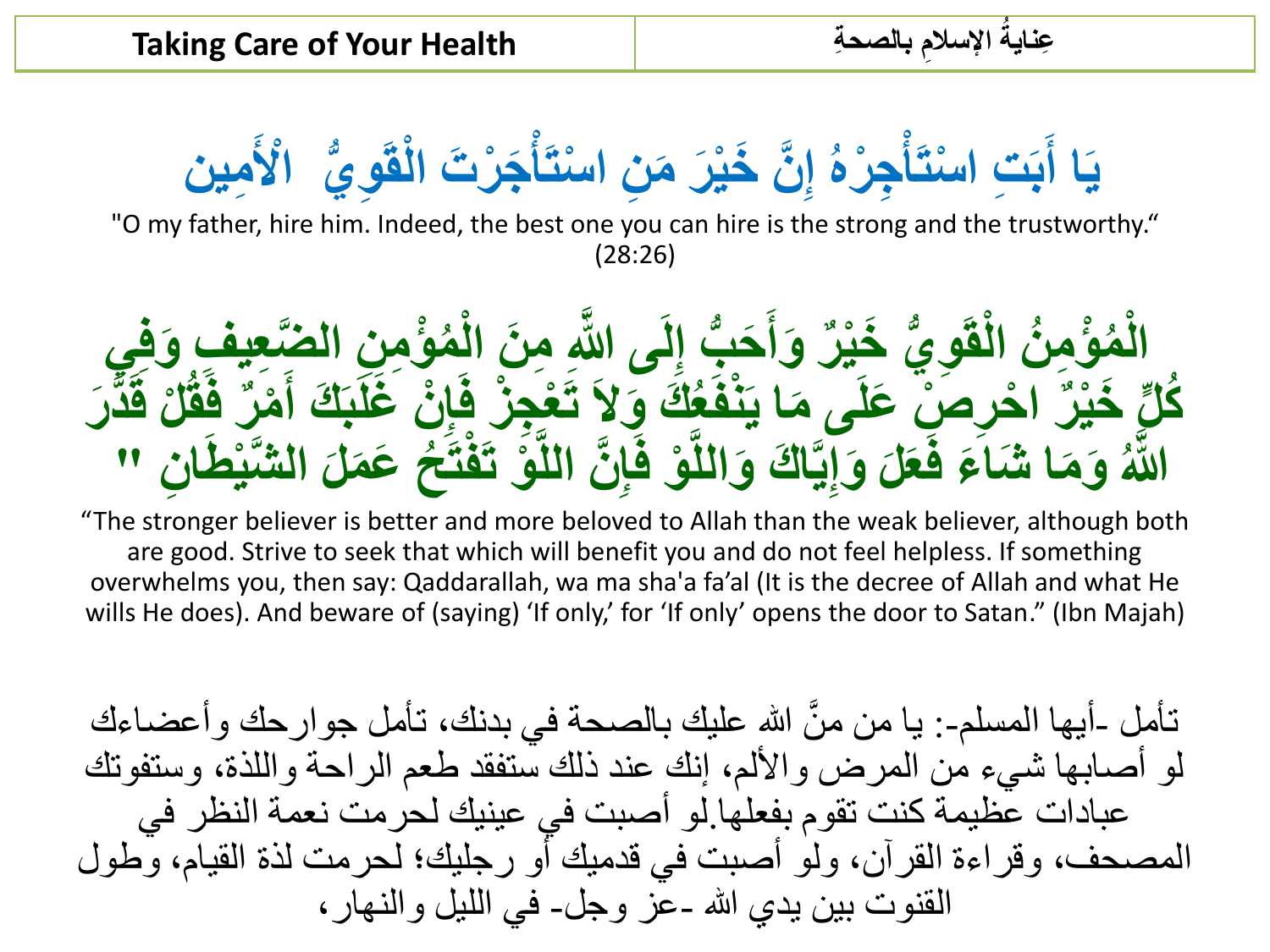

"O my father, hire him. Indeed, the best one you can hire is the strong and the trustworthy." (28:26)



"The stronger believer is better and more beloved to Allah than the weak believer, although both are good. Strive to seek that which will benefit you and do not feel helpless. If something overwhelms you, then say: Qaddarallah, wa ma sha'a fa'al (It is the decree of Allah and what He wills He does). And beware of (saying) 'If only,' for 'If only' opens the door to Satan." (Ibn Majah)

تأمل ـأيها المسلم-: يا من منَّ الله عليك بالصحة في بدنك، تأمل جوارحك وأعضاءك نَّة<br>ا لو أصابها شيء من المرض والألم، إنك عند ذلك ستفقد طعم الراحة واللذة، وستفوتك عبادات عظيمة كنت تقوم بفعلها.لو أصبت في عينيك لحرمت نعمة النظر في المصحف، وقراءة القرآن، ولو أصبت في قدميك أو رجليك؛ لحرمت لذة القيام، وطول القنوت بين يدي الله -عز وجل- في الليل والنهار ،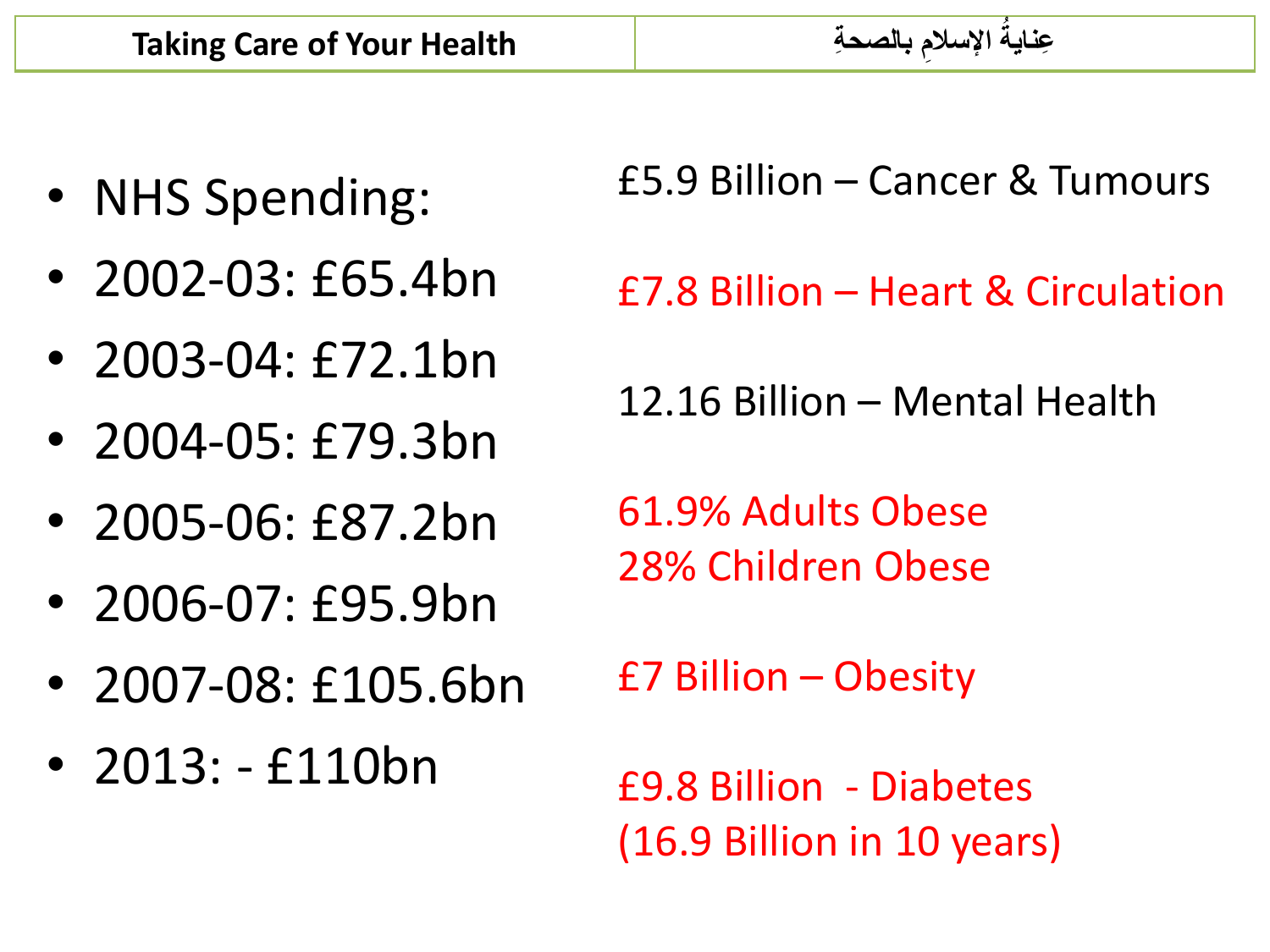| <b>Taking Care of Your Health</b> | بالصحة |
|-----------------------------------|--------|
|-----------------------------------|--------|

- NHS Spending:
- 2002-03: £65.4bn
- 2003-04: £72.1bn
- 2004-05: £79.3bn
- 2005-06: £87.2bn
- 2006-07: £95.9bn
- 2007-08: £105.6bn
- 2013: £110bn

£5.9 Billion – Cancer & Tumours

- £7.8 Billion Heart & Circulation
- 12.16 Billion Mental Health
- 61.9% Adults Obese 28% Children Obese
- £7 Billion Obesity
- £9.8 Billion Diabetes (16.9 Billion in 10 years)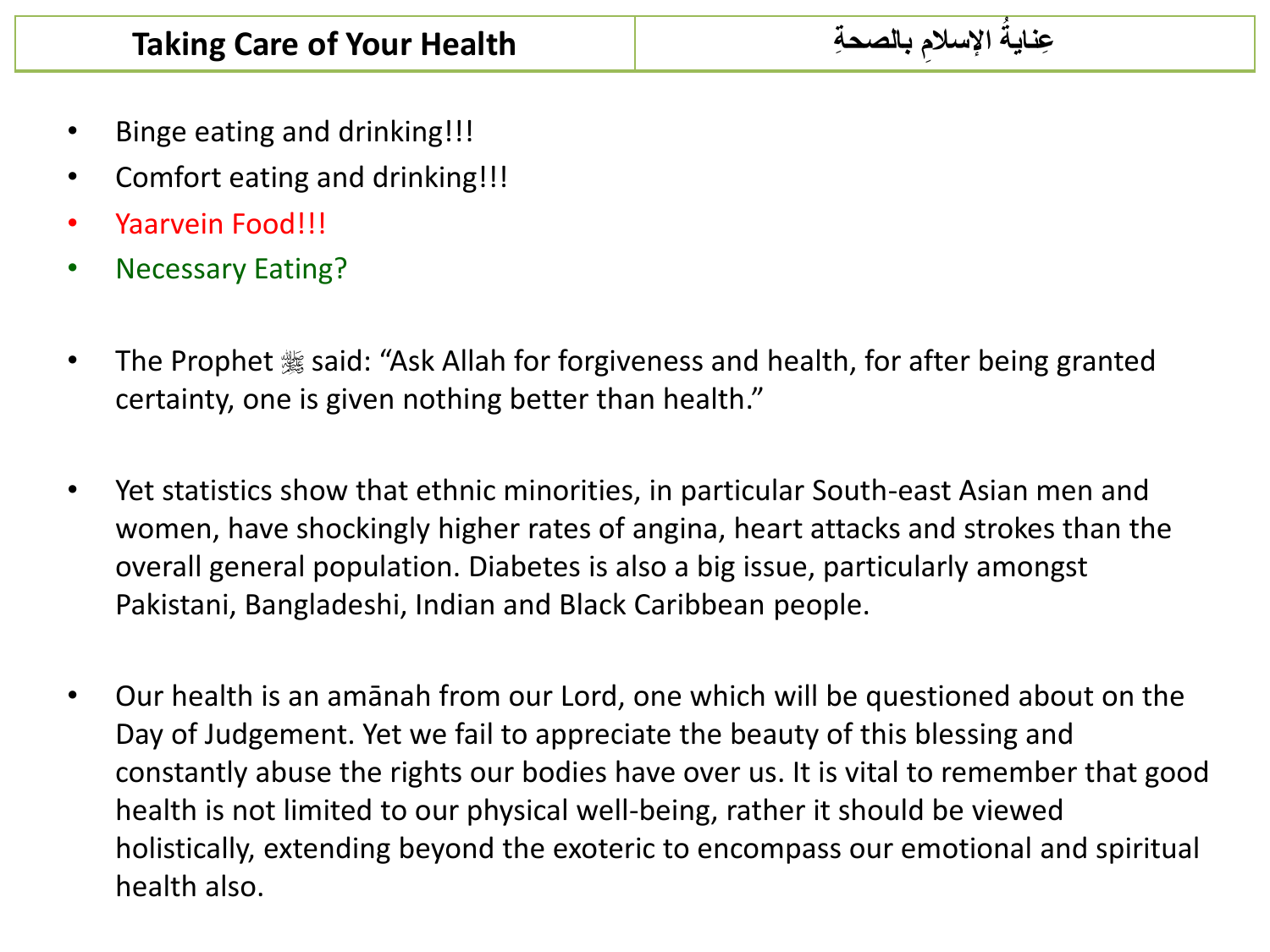- Binge eating and drinking!!!
- Comfort eating and drinking!!!
- Yaarvein Food!!!
- Necessary Eating?
- The Prophet  $\frac{1}{20}$  said: "Ask Allah for forgiveness and health, for after being granted certainty, one is given nothing better than health."
- Yet statistics show that ethnic minorities, in particular South-east Asian men and women, have shockingly higher rates of angina, heart attacks and strokes than the overall general population. Diabetes is also a big issue, particularly amongst Pakistani, Bangladeshi, Indian and Black Caribbean people.
- Our health is an amānah from our Lord, one which will be questioned about on the Day of Judgement. Yet we fail to appreciate the beauty of this blessing and constantly abuse the rights our bodies have over us. It is vital to remember that good health is not limited to our physical well-being, rather it should be viewed holistically, extending beyond the exoteric to encompass our emotional and spiritual health also.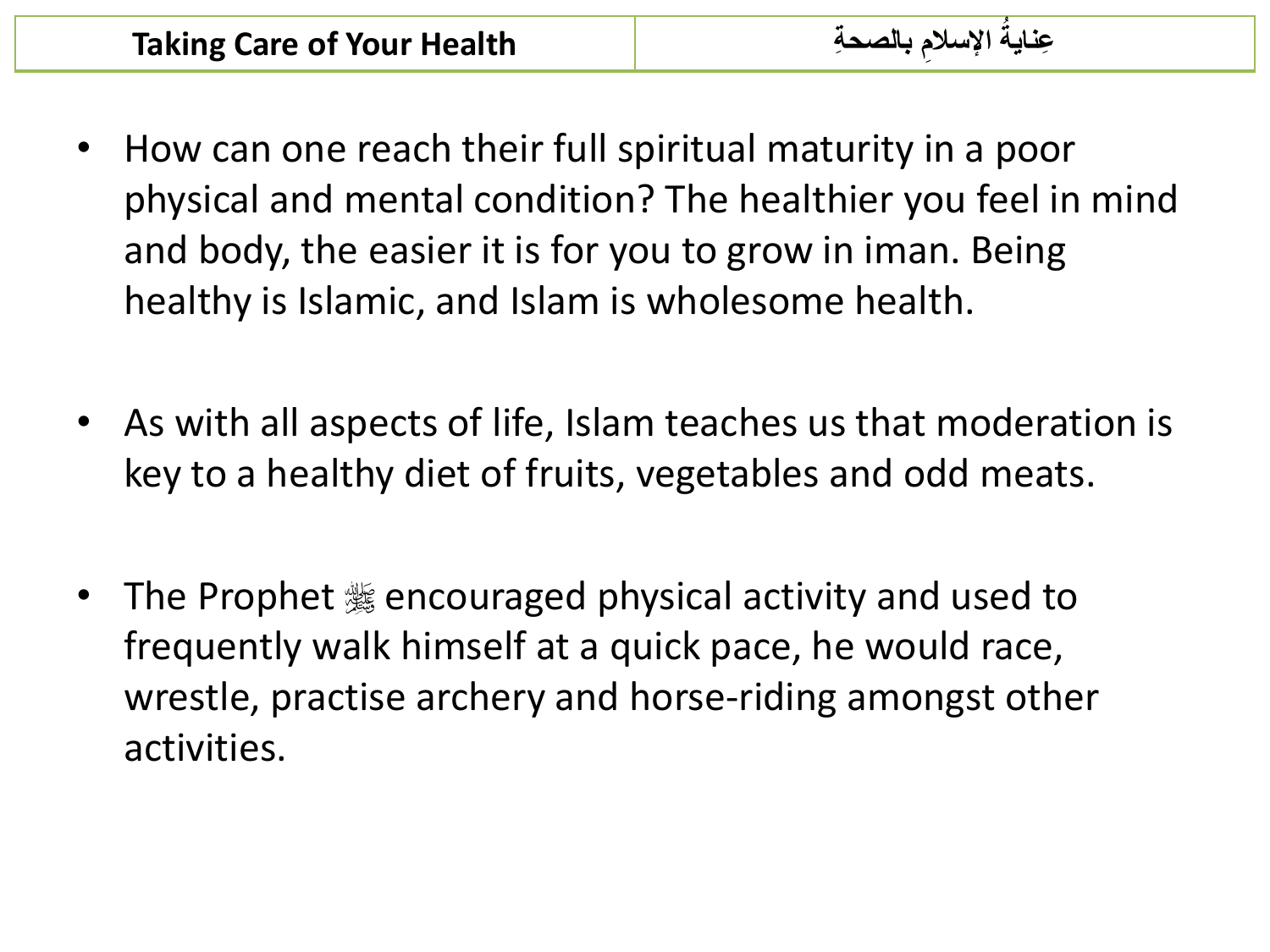- How can one reach their full spiritual maturity in a poor physical and mental condition? The healthier you feel in mind and body, the easier it is for you to grow in iman. Being healthy is Islamic, and Islam is wholesome health.
- As with all aspects of life, Islam teaches us that moderation is key to a healthy diet of fruits, vegetables and odd meats.
- The Prophet  $\frac{1}{200}$  encouraged physical activity and used to frequently walk himself at a quick pace, he would race, wrestle, practise archery and horse-riding amongst other activities.